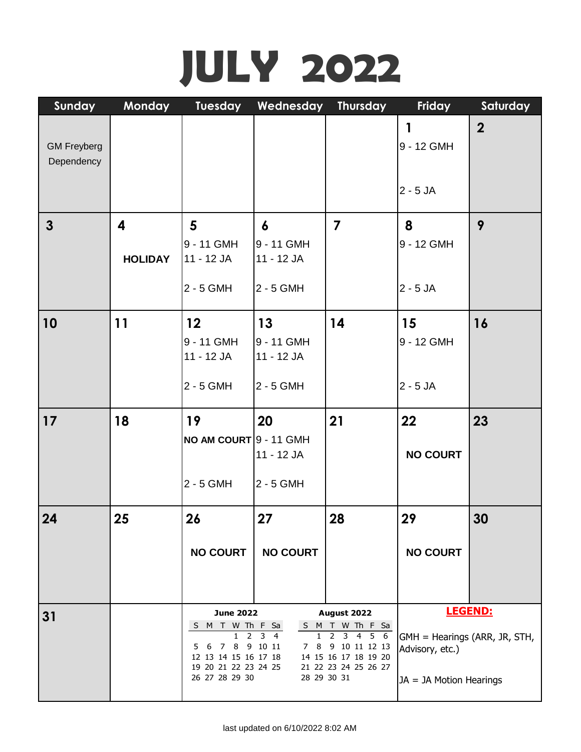## **JULY 2022**

| Sunday                           | <b>Monday</b>  | Tuesday                                                                                                                            | Wednesday                                         | <b>Thursday</b>                                                                                                                                     | Friday                                                                        | Saturday       |
|----------------------------------|----------------|------------------------------------------------------------------------------------------------------------------------------------|---------------------------------------------------|-----------------------------------------------------------------------------------------------------------------------------------------------------|-------------------------------------------------------------------------------|----------------|
| <b>GM Freyberg</b><br>Dependency |                |                                                                                                                                    |                                                   |                                                                                                                                                     | 1<br>9 - 12 GMH<br>$2 - 5$ JA                                                 | $\overline{2}$ |
| $\mathbf{3}$                     | 4              | 5                                                                                                                                  | $\boldsymbol{6}$                                  | $\overline{\mathbf{z}}$                                                                                                                             | 8                                                                             | 9              |
|                                  | <b>HOLIDAY</b> | 9 - 11 GMH<br>11 - 12 JA                                                                                                           | 9 - 11 GMH<br>11 - 12 JA                          |                                                                                                                                                     | 9 - 12 GMH                                                                    |                |
|                                  |                | 2 - 5 GMH                                                                                                                          | 2 - 5 GMH                                         |                                                                                                                                                     | $2 - 5$ JA                                                                    |                |
| 10                               | 11             | 12<br>9 - 11 GMH                                                                                                                   | 13<br>9 - 11 GMH                                  | 14                                                                                                                                                  | 15<br>9 - 12 GMH                                                              | 16             |
|                                  |                | 11 - 12 JA<br>2 - 5 GMH                                                                                                            | 11 - 12 JA<br>2 - 5 GMH                           |                                                                                                                                                     | $2 - 5$ JA                                                                    |                |
| 17                               | 18             | 19<br>NO AM COURT 9 - 11 GMH                                                                                                       | 20                                                | 21                                                                                                                                                  | 22                                                                            | 23             |
|                                  |                |                                                                                                                                    | 11 - 12 JA                                        |                                                                                                                                                     | <b>NO COURT</b>                                                               |                |
|                                  |                | 2 - 5 GMH                                                                                                                          | 2 - 5 GMH                                         |                                                                                                                                                     |                                                                               |                |
| 24                               | 25             | 26                                                                                                                                 | 27                                                | 28                                                                                                                                                  | 29                                                                            | 30             |
|                                  |                | <b>NO COURT</b>                                                                                                                    | <b>NO COURT</b>                                   |                                                                                                                                                     | <b>NO COURT</b>                                                               |                |
|                                  |                |                                                                                                                                    |                                                   |                                                                                                                                                     |                                                                               |                |
| 31                               |                | <b>June 2022</b><br>S M T W Th F Sa<br>2<br>1<br>5 6 7 8 9 10 11<br>12 13 14 15 16 17 18<br>19 20 21 22 23 24 25<br>26 27 28 29 30 | $3 \quad 4$<br>$\mathbf{1}$<br>7 8<br>28 29 30 31 | August 2022<br>S M T W Th F Sa<br>456<br>$\overline{2}$<br>$\overline{\mathbf{3}}$<br>9 10 11 12 13<br>14 15 16 17 18 19 20<br>21 22 23 24 25 26 27 | GMH = Hearings (ARR, JR, STH,<br>Advisory, etc.)<br>$JA = JA$ Motion Hearings | LEGEND:        |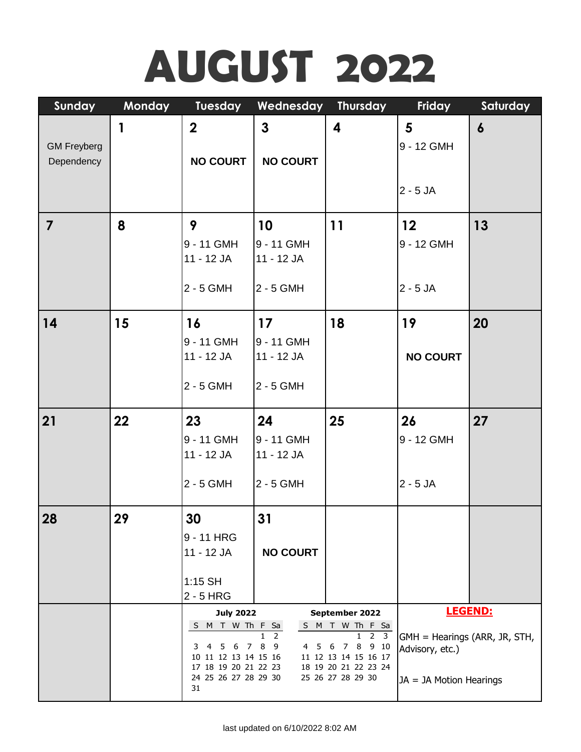# **AUGUST 2022**

| Sunday             | <b>Monday</b> | <b>Tuesday</b>                               | Wednesday       | <b>Thursday</b>                                                  | Friday                        | Saturday         |
|--------------------|---------------|----------------------------------------------|-----------------|------------------------------------------------------------------|-------------------------------|------------------|
|                    | 1             | $\mathbf 2$                                  | $\mathbf{3}$    | 4                                                                | $5\phantom{1}$                | $\boldsymbol{6}$ |
| <b>GM Freyberg</b> |               |                                              |                 |                                                                  | 9 - 12 GMH                    |                  |
| Dependency         |               | <b>NO COURT</b>                              | <b>NO COURT</b> |                                                                  |                               |                  |
|                    |               |                                              |                 |                                                                  | $2 - 5$ JA                    |                  |
|                    |               |                                              |                 |                                                                  |                               |                  |
| $\overline{7}$     | 8             | 9                                            | 10              | 11                                                               | 12                            | 13               |
|                    |               | 9 - 11 GMH                                   | 9 - 11 GMH      |                                                                  | 9 - 12 GMH                    |                  |
|                    |               | 11 - 12 JA                                   | 11 - 12 JA      |                                                                  |                               |                  |
|                    |               |                                              |                 |                                                                  |                               |                  |
|                    |               | $2 - 5$ GMH                                  | 2 - 5 GMH       |                                                                  | $2 - 5$ JA                    |                  |
| 14                 | 15            | 16                                           | 17              | 18                                                               | 19                            | 20               |
|                    |               | 9 - 11 GMH                                   | 9 - 11 GMH      |                                                                  |                               |                  |
|                    |               | 11 - 12 JA                                   | 11 - 12 JA      |                                                                  | <b>NO COURT</b>               |                  |
|                    |               |                                              |                 |                                                                  |                               |                  |
|                    |               | $2 - 5$ GMH                                  | 2 - 5 GMH       |                                                                  |                               |                  |
| 21                 | 22            | 23                                           | 24              | 25                                                               | 26                            | 27               |
|                    |               | 9 - 11 GMH                                   | 9 - 11 GMH      |                                                                  | 9 - 12 GMH                    |                  |
|                    |               | 11 - 12 JA                                   | 11 - 12 JA      |                                                                  |                               |                  |
|                    |               | 2 - 5 GMH                                    |                 |                                                                  | $2 - 5$ JA                    |                  |
|                    |               |                                              | 2 - 5 GMH       |                                                                  |                               |                  |
| 28                 | 29            | 30                                           | 31              |                                                                  |                               |                  |
|                    |               | 9 - 11 HRG                                   |                 |                                                                  |                               |                  |
|                    |               | 11 - 12 JA                                   | <b>NO COURT</b> |                                                                  |                               |                  |
|                    |               |                                              |                 |                                                                  |                               |                  |
|                    |               | $1:15$ SH<br>$2 - 5$ HRG                     |                 |                                                                  |                               |                  |
|                    |               | <b>July 2022</b>                             |                 | September 2022                                                   |                               | LEGEND:          |
|                    |               | S M T W Th F Sa                              |                 | S M T W Th F Sa<br>$\overline{2}$ $\overline{3}$<br>$\mathbf{1}$ | GMH = Hearings (ARR, JR, STH, |                  |
|                    |               | 4 5 6 7<br>3                                 | 8<br>- 9<br>4 5 | 8<br>9 10<br>6 7                                                 | Advisory, etc.)               |                  |
|                    |               | 10 11 12 13 14 15 16<br>17 18 19 20 21 22 23 |                 | 11 12 13 14 15 16 17<br>18 19 20 21 22 23 24                     |                               |                  |
|                    |               | 24 25 26 27 28 29 30<br>31                   |                 | 25 26 27 28 29 30                                                | $JA = JA$ Motion Hearings     |                  |
|                    |               |                                              |                 |                                                                  |                               |                  |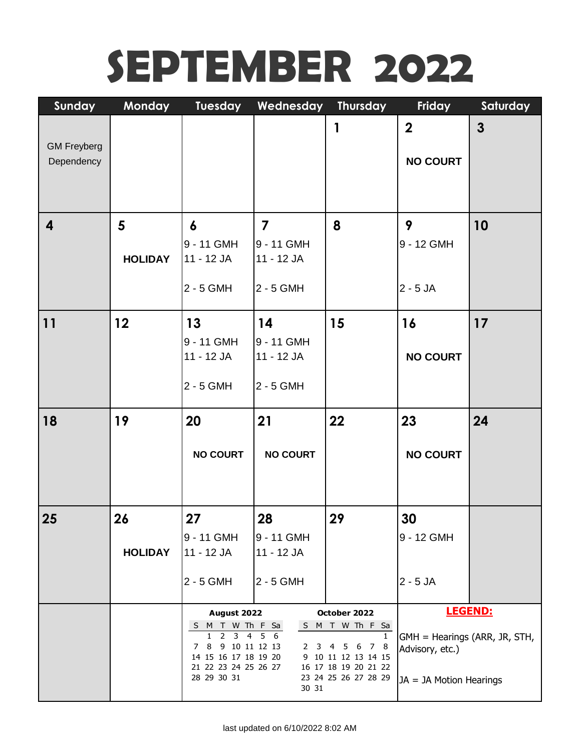## **SEPTEMBER 2022**

| Sunday             | Monday         | Tuesday                                                      | Wednesday       | <b>Thursday</b>                              | Friday                        | Saturday       |
|--------------------|----------------|--------------------------------------------------------------|-----------------|----------------------------------------------|-------------------------------|----------------|
|                    |                |                                                              |                 | 1                                            | $\overline{2}$                | $\mathbf{3}$   |
| <b>GM Freyberg</b> |                |                                                              |                 |                                              |                               |                |
| Dependency         |                |                                                              |                 |                                              | <b>NO COURT</b>               |                |
|                    |                |                                                              |                 |                                              |                               |                |
|                    |                |                                                              |                 |                                              |                               |                |
| 4                  | $5\phantom{.}$ | $\boldsymbol{6}$                                             | $\overline{7}$  | 8                                            | 9                             | 10             |
|                    |                | 9 - 11 GMH                                                   | 9 - 11 GMH      |                                              | 9 - 12 GMH                    |                |
|                    | <b>HOLIDAY</b> | 11 - 12 JA                                                   | 11 - 12 JA      |                                              |                               |                |
|                    |                | 2 - 5 GMH                                                    | 2 - 5 GMH       |                                              | $2 - 5$ JA                    |                |
|                    |                |                                                              |                 |                                              |                               |                |
| 11                 | 12             | 13                                                           | 14              | 15                                           | 16                            | 17             |
|                    |                | 9 - 11 GMH                                                   | 9 - 11 GMH      |                                              |                               |                |
|                    |                | 11 - 12 JA                                                   | 11 - 12 JA      |                                              | <b>NO COURT</b>               |                |
|                    |                | 2 - 5 GMH                                                    | 2 - 5 GMH       |                                              |                               |                |
|                    |                |                                                              |                 |                                              |                               |                |
| 18                 | 19             | 20                                                           | 21              | 22                                           | 23                            | 24             |
|                    |                |                                                              |                 |                                              |                               |                |
|                    |                | <b>NO COURT</b>                                              | <b>NO COURT</b> |                                              | <b>NO COURT</b>               |                |
|                    |                |                                                              |                 |                                              |                               |                |
|                    |                |                                                              |                 |                                              |                               |                |
| 25                 | 26             | 27                                                           | 28              | 29                                           | 30                            |                |
|                    |                | 9 - 11 GMH                                                   | 9 - 11 GMH      |                                              | 9 - 12 GMH                    |                |
|                    | <b>HOLIDAY</b> | 11 - 12 JA                                                   | 11 - 12 JA      |                                              |                               |                |
|                    |                | 2 - 5 GMH                                                    | 2 - 5 GMH       |                                              | $2 - 5$ JA                    |                |
|                    |                |                                                              |                 |                                              |                               |                |
|                    |                | August 2022                                                  |                 | October 2022<br>S M T W Th F Sa              |                               | <b>LEGEND:</b> |
|                    |                |                                                              |                 |                                              |                               |                |
|                    |                | S M T W Th F Sa<br>2<br>1                                    | 3 4 5 6         | $\mathbf{1}$                                 | GMH = Hearings (ARR, JR, STH, |                |
|                    |                | 8 <sup>1</sup><br>9 10 11 12 13<br>7<br>14 15 16 17 18 19 20 |                 | 2 3 4 5 6<br>7 8<br>9 10 11 12 13 14 15      | Advisory, etc.)               |                |
|                    |                | 21 22 23 24 25 26 27<br>28 29 30 31                          |                 | 16 17 18 19 20 21 22<br>23 24 25 26 27 28 29 | JA = JA Motion Hearings       |                |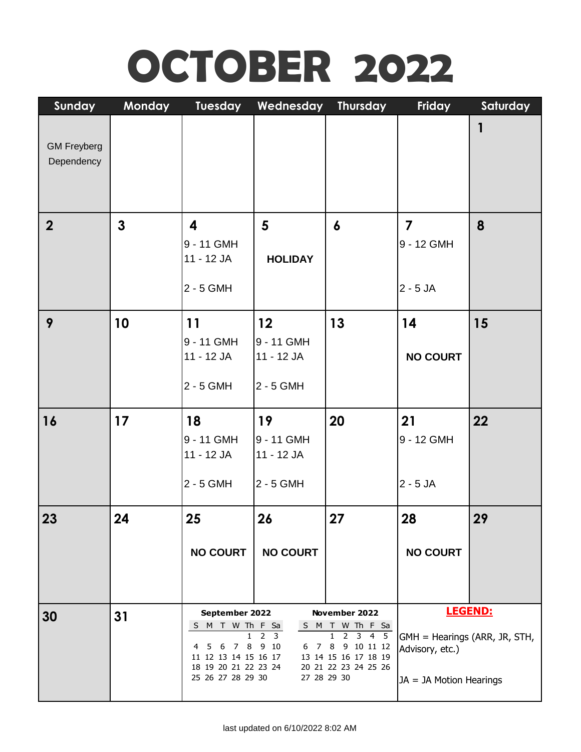## **OCTOBER 2022**

| Sunday                           | <b>Monday</b> | Tuesday                                                                                                                     | Wednesday                                                | <b>Thursday</b>                                                                                                                                     | Friday                                                                      | Saturday       |
|----------------------------------|---------------|-----------------------------------------------------------------------------------------------------------------------------|----------------------------------------------------------|-----------------------------------------------------------------------------------------------------------------------------------------------------|-----------------------------------------------------------------------------|----------------|
| <b>GM Freyberg</b><br>Dependency |               |                                                                                                                             |                                                          |                                                                                                                                                     |                                                                             | 1              |
| $\overline{2}$                   | $\mathbf{3}$  | $\overline{\mathbf{4}}$<br>9 - 11 GMH<br>11 - 12 JA<br>2 - 5 GMH                                                            | 5<br><b>HOLIDAY</b>                                      | $\boldsymbol{6}$                                                                                                                                    | $\overline{7}$<br>9 - 12 GMH<br>$2 - 5$ JA                                  | 8              |
| 9                                | 10            | 11<br>9 - 11 GMH<br>11 - 12 JA<br>2 - 5 GMH                                                                                 | 12<br>9 - 11 GMH<br>11 - 12 JA<br>2 - 5 GMH              | 13                                                                                                                                                  | 14<br><b>NO COURT</b>                                                       | 15             |
| <b>16</b>                        | 17            | 18<br>9 - 11 GMH<br>11 - 12 JA<br>$2 - 5$ GMH                                                                               | 19<br>9 - 11 GMH<br>11 - 12 JA<br>2 - 5 GMH              | 20                                                                                                                                                  | 21<br>9 - 12 GMH<br>$2 - 5$ JA                                              | 22             |
| 23                               | 24            | 25<br><b>NO COURT</b>                                                                                                       | 26<br><b>NO COURT</b>                                    | 27                                                                                                                                                  | 28<br><b>NO COURT</b>                                                       | 29             |
| 30                               | 31            | September 2022<br>S M T W Th F Sa<br>5 6 7 8 9 10<br>4<br>11 12 13 14 15 16 17<br>18 19 20 21 22 23 24<br>25 26 27 28 29 30 | $\overline{2}$<br>$\overline{\mathbf{3}}$<br>27 28 29 30 | November 2022<br>S M T W Th F Sa<br>$2 \quad 3 \quad 4 \quad 5$<br>$\mathbf{1}$<br>6 7 8 9 10 11 12<br>13 14 15 16 17 18 19<br>20 21 22 23 24 25 26 | GMH = Hearings (ARR, JR, STH,<br>Advisory, etc.)<br>JA = JA Motion Hearings | <b>LEGEND:</b> |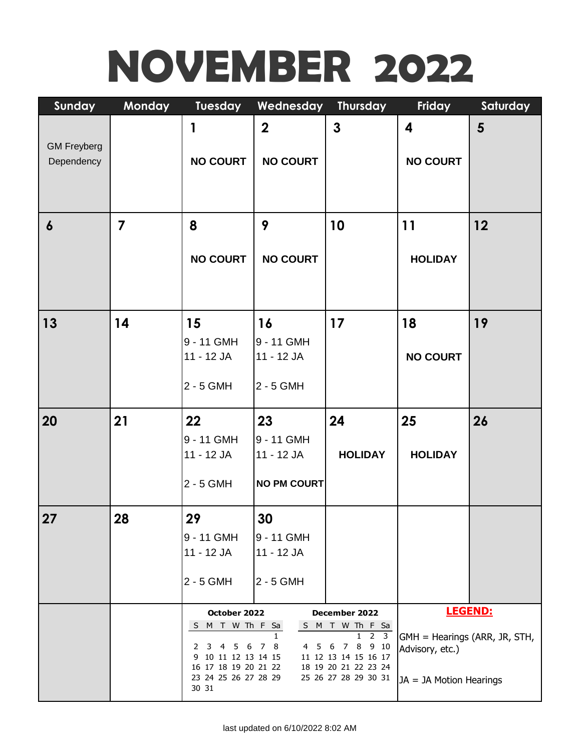# **NOVEMBER 2022**

| Sunday             | <b>Monday</b>  | Tuesday                                               | Wednesday                | <b>Thursday</b>                                          | Friday                        | Saturday |
|--------------------|----------------|-------------------------------------------------------|--------------------------|----------------------------------------------------------|-------------------------------|----------|
| <b>GM Freyberg</b> |                | 1                                                     | $\overline{2}$           | 3                                                        | $\overline{\mathbf{4}}$       | 5        |
| Dependency         |                | <b>NO COURT</b>                                       | <b>NO COURT</b>          |                                                          | <b>NO COURT</b>               |          |
| $\boldsymbol{6}$   | $\overline{7}$ | 8                                                     | 9                        | 10                                                       | 11                            | 12       |
|                    |                | <b>NO COURT</b>                                       | <b>NO COURT</b>          |                                                          | <b>HOLIDAY</b>                |          |
| 13                 | 14             | 15                                                    | 16                       | 17                                                       | 18                            | 19       |
|                    |                | 9 - 11 GMH<br>11 - 12 JA                              | 9 - 11 GMH<br>11 - 12 JA |                                                          | <b>NO COURT</b>               |          |
|                    |                | 2 - 5 GMH                                             | 2 - 5 GMH                |                                                          |                               |          |
| 20                 | 21             | 22                                                    | 23                       | 24                                                       | 25                            | 26       |
|                    |                | 9 - 11 GMH<br>11 - 12 JA                              | 9 - 11 GMH<br>11 - 12 JA | <b>HOLIDAY</b>                                           | <b>HOLIDAY</b>                |          |
|                    |                | 2 - 5 GMH                                             | <b>NO PM COURT</b>       |                                                          |                               |          |
| 27                 | 28             | 29                                                    | 30                       |                                                          |                               |          |
|                    |                | 9 - 11 GMH                                            | 9 - 11 GMH               |                                                          |                               |          |
|                    |                | 11 - 12 JA                                            | 11 - 12 JA               |                                                          |                               |          |
|                    |                | 2 - 5 GMH                                             | 2 - 5 GMH                |                                                          |                               |          |
|                    |                | October 2022                                          |                          | December 2022                                            |                               | LEGEND:  |
|                    |                | M T W Th F Sa<br>S.                                   | 1                        | S M T W Th F Sa<br>2 <sub>3</sub><br>1                   | GMH = Hearings (ARR, JR, STH, |          |
|                    |                | 6<br>2<br>3<br>4<br>5<br>10 11 12 13 14 15<br>9       | 8<br>7<br>5<br>4         | 8<br>9 10<br>6<br>$\overline{7}$<br>11 12 13 14 15 16 17 | Advisory, etc.)               |          |
|                    |                | 16 17 18 19 20 21 22<br>23 24 25 26 27 28 29<br>30 31 |                          | 18 19 20 21 22 23 24<br>25 26 27 28 29 30 31             | JA = JA Motion Hearings       |          |